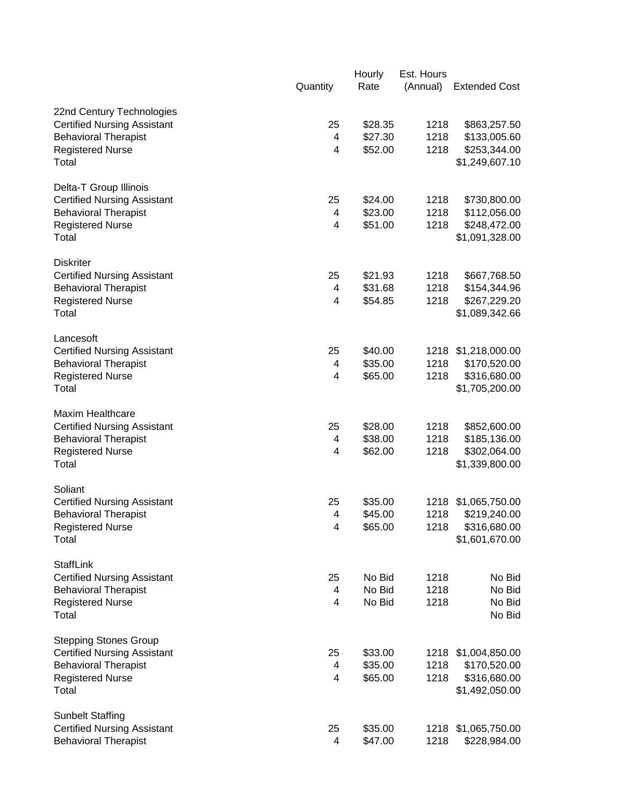|                                                                                                | Quantity | Hourly<br>Rate     | Est. Hours<br>(Annual) | <b>Extended Cost</b>                           |
|------------------------------------------------------------------------------------------------|----------|--------------------|------------------------|------------------------------------------------|
| 22nd Century Technologies<br><b>Certified Nursing Assistant</b><br><b>Behavioral Therapist</b> | 25<br>4  | \$28.35<br>\$27.30 | 1218<br>1218           | \$863,257.50<br>\$133,005.60                   |
| <b>Registered Nurse</b><br>Total                                                               | 4        | \$52.00            | 1218                   | \$253,344.00<br>\$1,249,607.10                 |
| Delta-T Group Illinois<br><b>Certified Nursing Assistant</b>                                   | 25       | \$24.00            | 1218                   | \$730,800.00                                   |
| <b>Behavioral Therapist</b><br><b>Registered Nurse</b><br>Total                                | 4<br>4   | \$23.00<br>\$51.00 | 1218<br>1218           | \$112,056.00<br>\$248,472.00<br>\$1,091,328.00 |
| <b>Diskriter</b>                                                                               |          |                    | 1218                   |                                                |
| <b>Certified Nursing Assistant</b><br><b>Behavioral Therapist</b>                              | 25<br>4  | \$21.93<br>\$31.68 | 1218                   | \$667,768.50<br>\$154,344.96                   |
| <b>Registered Nurse</b><br>Total                                                               | 4        | \$54.85            | 1218                   | \$267,229.20<br>\$1,089,342.66                 |
| Lancesoft<br><b>Certified Nursing Assistant</b>                                                | 25       | \$40.00            |                        | 1218 \$1,218,000.00                            |
| <b>Behavioral Therapist</b>                                                                    | 4        | \$35.00            | 1218                   | \$170,520.00                                   |
| <b>Registered Nurse</b><br>Total                                                               | 4        | \$65.00            | 1218                   | \$316,680.00<br>\$1,705,200.00                 |
| <b>Maxim Healthcare</b><br><b>Certified Nursing Assistant</b>                                  | 25       | \$28.00            | 1218                   | \$852,600.00                                   |
| <b>Behavioral Therapist</b>                                                                    | 4        | \$38.00            | 1218                   | \$185,136.00                                   |
| <b>Registered Nurse</b><br>Total                                                               | 4        | \$62.00            | 1218                   | \$302,064.00<br>\$1,339,800.00                 |
| Soliant                                                                                        |          |                    |                        |                                                |
| <b>Certified Nursing Assistant</b><br><b>Behavioral Therapist</b>                              | 25<br>4  | \$35.00<br>\$45.00 | 1218                   | 1218 \$1,065,750.00<br>\$219,240.00            |
| <b>Registered Nurse</b><br>Total                                                               | 4        | \$65.00            | 1218                   | \$316,680.00<br>\$1,601,670.00                 |
| <b>StaffLink</b>                                                                               |          |                    |                        | No Bid                                         |
| <b>Certified Nursing Assistant</b><br><b>Behavioral Therapist</b>                              | 25<br>4  | No Bid<br>No Bid   | 1218<br>1218           | No Bid                                         |
| <b>Registered Nurse</b><br>Total                                                               | 4        | No Bid             | 1218                   | No Bid<br>No Bid                               |
| <b>Stepping Stones Group</b>                                                                   |          |                    |                        |                                                |
| <b>Certified Nursing Assistant</b><br><b>Behavioral Therapist</b>                              | 25<br>4  | \$33.00<br>\$35.00 | 1218<br>1218           | \$1,004,850.00<br>\$170,520.00                 |
| <b>Registered Nurse</b><br>Total                                                               | 4        | \$65.00            | 1218                   | \$316,680.00<br>\$1,492,050.00                 |
| <b>Sunbelt Staffing</b>                                                                        |          |                    |                        |                                                |
| <b>Certified Nursing Assistant</b><br><b>Behavioral Therapist</b>                              | 25<br>4  | \$35.00<br>\$47.00 | 1218<br>1218           | \$1,065,750.00<br>\$228,984.00                 |